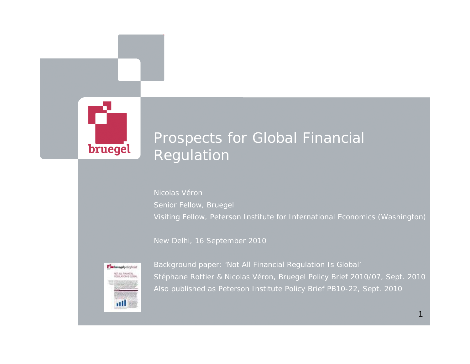

## Prospects for Global Financial Regulation

Nicolas VéronSenior Fellow, Bruegel Visiting Fellow, Peterson Institute for International Economics (Washington)

New Delhi, 16 September 2010



*Background paper: 'Not All Financial Regulation Is Global' Stéphane Rottier & Nicolas Véron, Bruegel Policy Brief 2010/07, Sept. 2010 Also published as Peterson Institute Policy Brief PB10-22, Sept. 2010*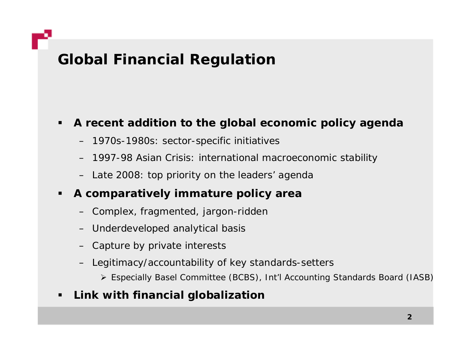# **Global Financial Regulation**

## **A recent addition to the global economic policy agenda**

- 1970s-1980s: sector-specific initiatives
- 1997-98 Asian Crisis: international macroeconomic stability
- Late 2008: top priority on the leaders' agenda

### п **A comparatively immature policy area**

- Complex, fragmented, jargon-ridden
- Underdeveloped analytical basis
- Capture by private interests
- Legitimacy/accountability of key standards-setters
	- ¾ Especially Basel Committee (BCBS), Int'l Accounting Standards Board (IASB)

## **Link with financial globalization**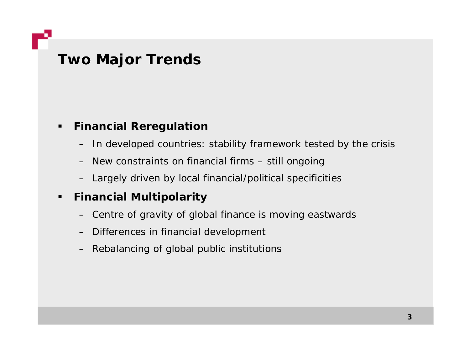**Two Major Trends**

### $\blacksquare$ **Financial Reregulation**

- In developed countries: stability framework tested by the crisis
- New constraints on financial firms still ongoing
- Largely driven by local financial/political specificities

### $\blacksquare$ **Financial Multipolarity**

- Centre of gravity of global finance is moving eastwards
- Differences in financial development
- Rebalancing of global public institutions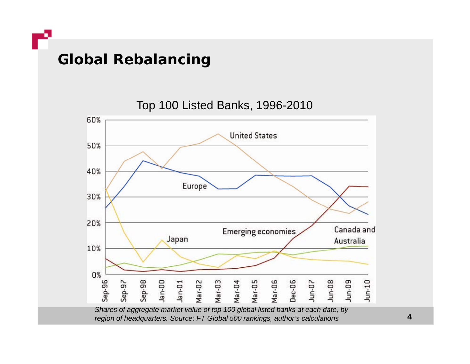**Global Rebalancing**

Top 100 Listed Banks, 1996-2010



**4**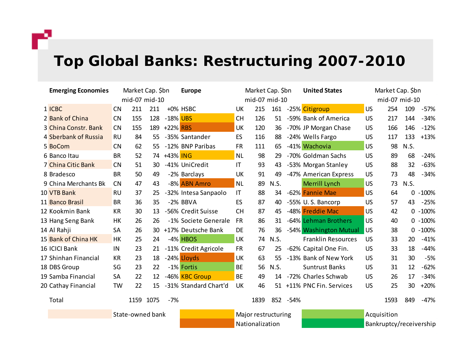r

# **Top g Global Banks: Restructuring 2007-2010**

| <b>Emerging Economies</b> | Market Cap. \$bn |      |      |          | <b>Europe</b>         | Market Cap. \$bn    |      |      |           | <b>United States</b>      | Market Cap. \$bn        |      |      |            |
|---------------------------|------------------|------|------|----------|-----------------------|---------------------|------|------|-----------|---------------------------|-------------------------|------|------|------------|
|                           | mid-07 mid-10    |      |      |          |                       | mid-07 mid-10       |      |      |           |                           | mid-07 mid-10           |      |      |            |
| 1 ICBC                    | <b>CN</b>        | 211  | 211  |          | +0% HSBC              | UK                  | 215  |      |           | 161 -25% Citigroup        | <b>US</b>               | 254  | 109  | $-57%$     |
| 2 Bank of China           | <b>CN</b>        | 155  | 128  | -18% UBS |                       | <b>CH</b>           | 126  | 51   |           | -59% Bank of America      | <b>US</b>               | 217  | 144  | $-34%$     |
| 3 China Constr. Bank      | <b>CN</b>        | 155  | 189  | +22% RBS |                       | <b>UK</b>           | 120  | 36   |           | -70% JP Morgan Chase      | <b>US</b>               | 166  | 146  | $-12%$     |
| 4 Sberbank of Russia      | <b>RU</b>        | 84   | 55   |          | -35% Santander        | ES                  | 116  | 88   |           | -24% Wells Fargo          | <b>US</b>               | 117  | 133  | $+13%$     |
| 5 BoCom                   | <b>CN</b>        | 62   | 55   |          | -12% BNP Paribas      | <b>FR</b>           | 111  | 65   |           | -41% Wachovia             | <b>US</b>               | 98   | N.S. |            |
| 6 Banco Itau              | <b>BR</b>        | 52   | 74   | +43% ING |                       | <b>NL</b>           | 98   | 29   |           | -70% Goldman Sachs        | <b>US</b>               | 89   | 68   | $-24%$     |
| 7 China Citic Bank        | <b>CN</b>        | 51   | 30   |          | -41% UniCredit        | IT                  | 93   | 43   |           | -53% Morgan Stanley       | <b>US</b>               | 88   | 32   | $-63%$     |
| 8 Bradesco                | <b>BR</b>        | 50   | 49   |          | -2% Barclays          | UK                  | 91   | 49   |           | -47% American Express     | <b>US</b>               | 73   | 48   | $-34%$     |
| 9 China Merchants Bk      | <b>CN</b>        | 47   | 43   |          | -8% ABN Amro          | <b>NL</b>           | 89   | N.S. |           | Merrill Lynch             | <b>US</b>               | 73   | N.S. |            |
| 10 VTB Bank               | <b>RU</b>        | 37   | 25   |          | -32% Intesa Sanpaolo  | IT                  | 88   | 34   |           | -62% Fannie Mae           | <b>US</b>               | 64   | 0    | $-100%$    |
| 11 Banco Brasil           | <b>BR</b>        | 36   | 35   |          | -2% BBVA              | ES                  | 87   | 40   |           | -55% U.S. Bancorp         | US                      | 57   | 43   | $-25%$     |
| 12 Kookmin Bank           | <b>KR</b>        | 30   | 13   |          | -56% Credit Suisse    | <b>CH</b>           | 87   | 45   |           | -48% Freddie Mac          | US                      | 42   |      | $0 - 100%$ |
| 13 Hang Seng Bank         | HK               | 26   | 26   |          | -1% Societe Generale  | <b>FR</b>           | 86   | 31   |           | -64% Lehman Brothers      | <b>US</b>               | 40   |      | $0 - 100%$ |
| 14 Al Rahji               | <b>SA</b>        | 26   | 30   |          | +17% Deutsche Bank    | DE                  | 76   | 36   |           | -54% Washington Mutual    | <b>US</b>               | 38   | 0    | $-100%$    |
| 15 Bank of China HK       | <b>HK</b>        | 25   | 24   |          | -4% HBOS              | <b>UK</b>           | 74   | N.S. |           | <b>Franklin Resources</b> | <b>US</b>               | 33   | 20   | $-41%$     |
| 16 ICICI Bank             | IN               | 23   | 21   |          | -11% Credit Agricole  | <b>FR</b>           | 67   | 25   |           | -62% Capital One Fin.     | US                      | 33   | 18   | $-44%$     |
| 17 Shinhan Financial      | <b>KR</b>        | 23   | 18   |          | -24% Lloyds           | UK                  | 63   | 55   |           | -13% Bank of New York     | US                      | 31   | 30   | $-5%$      |
| 18 DBS Group              | SG               | 23   | 22   |          | -1% Fortis            | <b>BE</b>           | 56   | N.S. |           | <b>Suntrust Banks</b>     | US                      | 31   | 12   | $-62%$     |
| 19 Samba Financial        | <b>SA</b>        | 22   | 12   |          | -46% KBC Group        | <b>BE</b>           | 49   | 14   |           | -72% Charles Schwab       | <b>US</b>               | 26   | 17   | $-34%$     |
| 20 Cathay Financial       | <b>TW</b>        | 22   | 15   |          | -31% Standard Chart'd | UK                  | 46   | 51   |           | +11% PNC Fin. Services    | <b>US</b>               | 25   | 30   | $+20%$     |
| Total                     |                  | 1159 | 1075 | $-7%$    |                       |                     | 1839 |      | 852 - 54% |                           |                         | 1593 | 849  | $-47%$     |
|                           | State-owned bank |      |      |          |                       | Major restructuring |      |      |           |                           | Acquisition             |      |      |            |
|                           |                  |      |      |          |                       | Nationalization     |      |      |           |                           | Bankruptcy/receivership |      |      |            |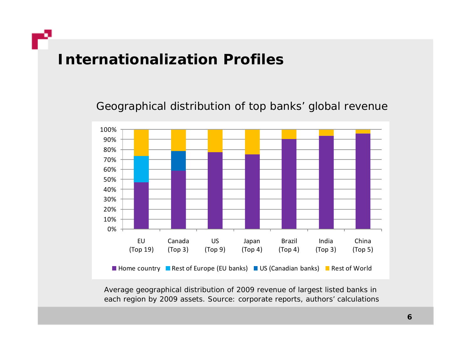## **Internationalization Profiles**

Geographical distribution of top banks' global revenue



*Average geographical distribution of 2009 revenue of largest listed banks in h b h ' l l eac re gion by 2009 assets. Source: corporate reports, aut hors' calculations*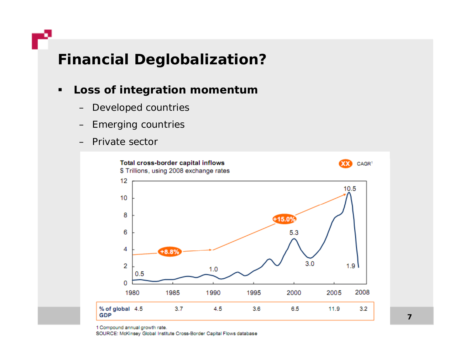# **Financial Deglobalization?**

### $\blacksquare$ **Loss of integration momentum**

- –Developed countries
- Emerging countries
- Private sector



1 Compound annual growth rate.

SOURCE: McKinsey Global Institute Cross-Border Capital Flows database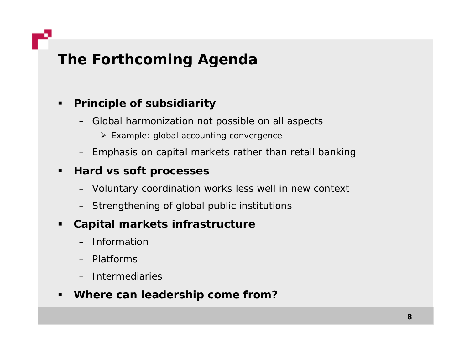# **The Forthcoming Agenda**

### $\blacksquare$ **Principle of subsidiarity**

- Global harmonization not possible on all aspects
	- ¾ Example: global accounting convergence
- Emphasis on capital markets rather than retail banking

## **Hard vs soft processes**

- Voluntary coordination works less well in new context
- Strengthening of global public institutions

### $\blacksquare$ **Capital markets infrastructure**

- Information
- Platforms
- Intermediaries

## **Where can leadership come from?**